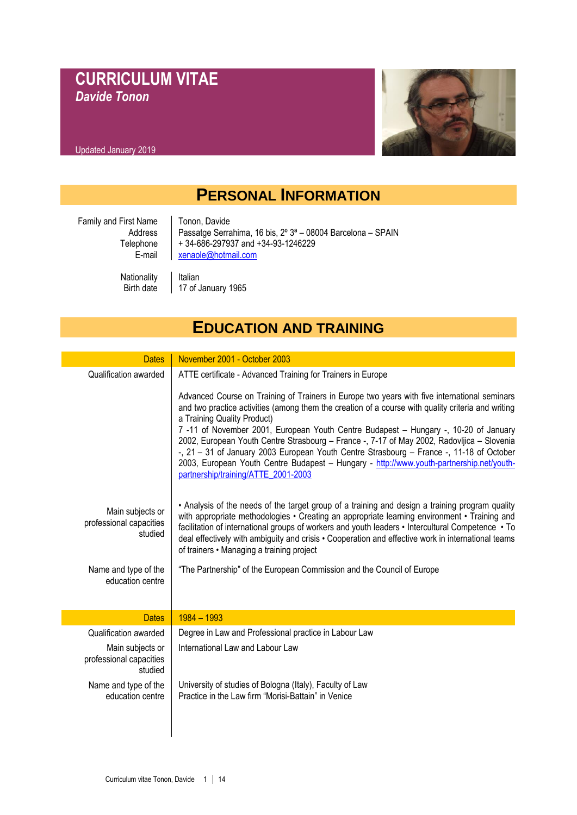## **CURRICULUM VITAE** *Davide Tonon*



# **PERSONAL INFORMATION**

| Family and First Name | Tonon, Davide                                                           |
|-----------------------|-------------------------------------------------------------------------|
| Address               | Passatge Serrahima, 16 bis, 2° 3 <sup>ª</sup> - 08004 Barcelona - SPAIN |
| Telephone             | +34-686-297937 and +34-93-1246229                                       |
| E-mail                | xenaole@hotmail.com                                                     |
| Nationality           | Italian                                                                 |
| Birth date            | 17 of January 1965                                                      |

## **EDUCATION AND TRAINING**

| <b>Dates</b>                                           | November 2001 - October 2003                                                                                                                                                                                                                                                                                                                                                                                                                                                                                                                                                                                                                                                                                         |
|--------------------------------------------------------|----------------------------------------------------------------------------------------------------------------------------------------------------------------------------------------------------------------------------------------------------------------------------------------------------------------------------------------------------------------------------------------------------------------------------------------------------------------------------------------------------------------------------------------------------------------------------------------------------------------------------------------------------------------------------------------------------------------------|
| Qualification awarded                                  | ATTE certificate - Advanced Training for Trainers in Europe<br>Advanced Course on Training of Trainers in Europe two years with five international seminars<br>and two practice activities (among them the creation of a course with quality criteria and writing<br>a Training Quality Product)<br>7-11 of November 2001, European Youth Centre Budapest - Hungary -, 10-20 of January<br>2002, European Youth Centre Strasbourg - France -, 7-17 of May 2002, Radovljica - Slovenia<br>-, 21 - 31 of January 2003 European Youth Centre Strasbourg - France -, 11-18 of October<br>2003, European Youth Centre Budapest - Hungary - http://www.youth-partnership.net/youth-<br>partnership/training/ATTE 2001-2003 |
| Main subjects or<br>professional capacities<br>studied | • Analysis of the needs of the target group of a training and design a training program quality<br>with appropriate methodologies • Creating an appropriate learning environment • Training and<br>facilitation of international groups of workers and youth leaders • Intercultural Competence • To<br>deal effectively with ambiguity and crisis • Cooperation and effective work in international teams<br>of trainers • Managing a training project                                                                                                                                                                                                                                                              |
| Name and type of the<br>education centre               | "The Partnership" of the European Commission and the Council of Europe                                                                                                                                                                                                                                                                                                                                                                                                                                                                                                                                                                                                                                               |
| <b>Dates</b>                                           | $1984 - 1993$                                                                                                                                                                                                                                                                                                                                                                                                                                                                                                                                                                                                                                                                                                        |
| Qualification awarded                                  | Degree in Law and Professional practice in Labour Law                                                                                                                                                                                                                                                                                                                                                                                                                                                                                                                                                                                                                                                                |
| Main subjects or<br>professional capacities<br>studied | International Law and Labour Law                                                                                                                                                                                                                                                                                                                                                                                                                                                                                                                                                                                                                                                                                     |
| Name and type of the<br>education centre               | University of studies of Bologna (Italy), Faculty of Law<br>Practice in the Law firm "Morisi-Battain" in Venice                                                                                                                                                                                                                                                                                                                                                                                                                                                                                                                                                                                                      |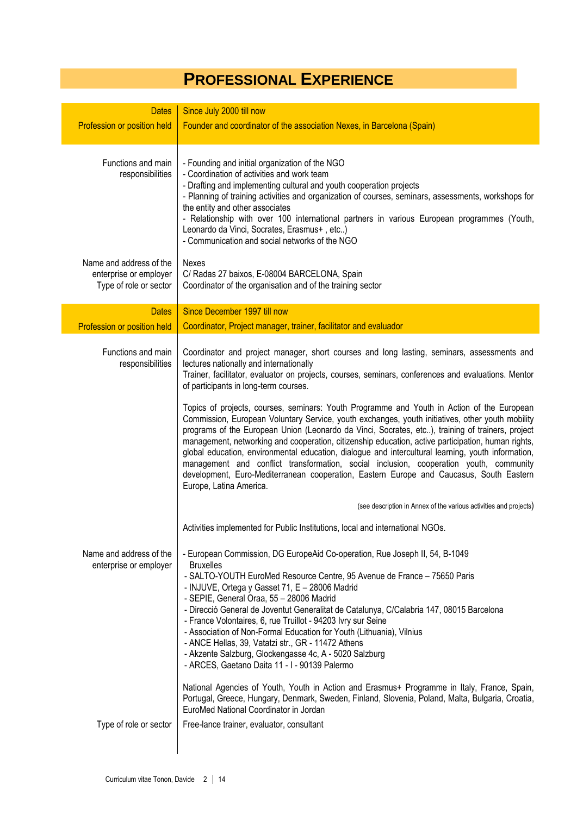# **PROFESSIONAL EXPERIENCE**

| <b>Dates</b>                                                                | Since July 2000 till now                                                                                                                                                                                                                                                                                                                                                                                                                                                                                                                                                                                                                                                                                                                                                                                                                                                                                                    |
|-----------------------------------------------------------------------------|-----------------------------------------------------------------------------------------------------------------------------------------------------------------------------------------------------------------------------------------------------------------------------------------------------------------------------------------------------------------------------------------------------------------------------------------------------------------------------------------------------------------------------------------------------------------------------------------------------------------------------------------------------------------------------------------------------------------------------------------------------------------------------------------------------------------------------------------------------------------------------------------------------------------------------|
| Profession or position held                                                 | Founder and coordinator of the association Nexes, in Barcelona (Spain)                                                                                                                                                                                                                                                                                                                                                                                                                                                                                                                                                                                                                                                                                                                                                                                                                                                      |
| Functions and main<br>responsibilities                                      | - Founding and initial organization of the NGO<br>- Coordination of activities and work team<br>- Drafting and implementing cultural and youth cooperation projects<br>- Planning of training activities and organization of courses, seminars, assessments, workshops for<br>the entity and other associates<br>- Relationship with over 100 international partners in various European programmes (Youth,<br>Leonardo da Vinci, Socrates, Erasmus+, etc)<br>- Communication and social networks of the NGO                                                                                                                                                                                                                                                                                                                                                                                                                |
| Name and address of the<br>enterprise or employer<br>Type of role or sector | Nexes<br>C/ Radas 27 baixos, E-08004 BARCELONA, Spain<br>Coordinator of the organisation and of the training sector                                                                                                                                                                                                                                                                                                                                                                                                                                                                                                                                                                                                                                                                                                                                                                                                         |
| <b>Dates</b>                                                                | Since December 1997 till now                                                                                                                                                                                                                                                                                                                                                                                                                                                                                                                                                                                                                                                                                                                                                                                                                                                                                                |
| Profession or position held                                                 | Coordinator, Project manager, trainer, facilitator and evaluador                                                                                                                                                                                                                                                                                                                                                                                                                                                                                                                                                                                                                                                                                                                                                                                                                                                            |
| Functions and main<br>responsibilities                                      | Coordinator and project manager, short courses and long lasting, seminars, assessments and<br>lectures nationally and internationally<br>Trainer, facilitator, evaluator on projects, courses, seminars, conferences and evaluations. Mentor<br>of participants in long-term courses.                                                                                                                                                                                                                                                                                                                                                                                                                                                                                                                                                                                                                                       |
|                                                                             | Topics of projects, courses, seminars: Youth Programme and Youth in Action of the European<br>Commission, European Voluntary Service, youth exchanges, youth initiatives, other youth mobility<br>programs of the European Union (Leonardo da Vinci, Socrates, etc), training of trainers, project<br>management, networking and cooperation, citizenship education, active participation, human rights,<br>global education, environmental education, dialogue and intercultural learning, youth information,<br>management and conflict transformation, social inclusion, cooperation youth, community<br>development, Euro-Mediterranean cooperation, Eastern Europe and Caucasus, South Eastern<br>Europe, Latina America.                                                                                                                                                                                              |
|                                                                             | (see description in Annex of the various activities and projects)                                                                                                                                                                                                                                                                                                                                                                                                                                                                                                                                                                                                                                                                                                                                                                                                                                                           |
|                                                                             | Activities implemented for Public Institutions, local and international NGOs.                                                                                                                                                                                                                                                                                                                                                                                                                                                                                                                                                                                                                                                                                                                                                                                                                                               |
| Name and address of the<br>enterprise or employer                           | - European Commission, DG EuropeAid Co-operation, Rue Joseph II, 54, B-1049<br><b>Bruxelles</b><br>- SALTO-YOUTH EuroMed Resource Centre, 95 Avenue de France - 75650 Paris<br>- INJUVE, Ortega y Gasset 71, E - 28006 Madrid<br>- SEPIE, General Oraa, 55 - 28006 Madrid<br>- Direcció General de Joventut Generalitat de Catalunya, C/Calabria 147, 08015 Barcelona<br>- France Volontaires, 6, rue Truillot - 94203 Ivry sur Seine<br>- Association of Non-Formal Education for Youth (Lithuania), Vilnius<br>- ANCE Hellas, 39, Vatatzi str., GR - 11472 Athens<br>- Akzente Salzburg, Glockengasse 4c, A - 5020 Salzburg<br>- ARCES, Gaetano Daita 11 - I - 90139 Palermo<br>National Agencies of Youth, Youth in Action and Erasmus+ Programme in Italy, France, Spain,<br>Portugal, Greece, Hungary, Denmark, Sweden, Finland, Slovenia, Poland, Malta, Bulgaria, Croatia,<br>EuroMed National Coordinator in Jordan |
| Type of role or sector                                                      | Free-lance trainer, evaluator, consultant                                                                                                                                                                                                                                                                                                                                                                                                                                                                                                                                                                                                                                                                                                                                                                                                                                                                                   |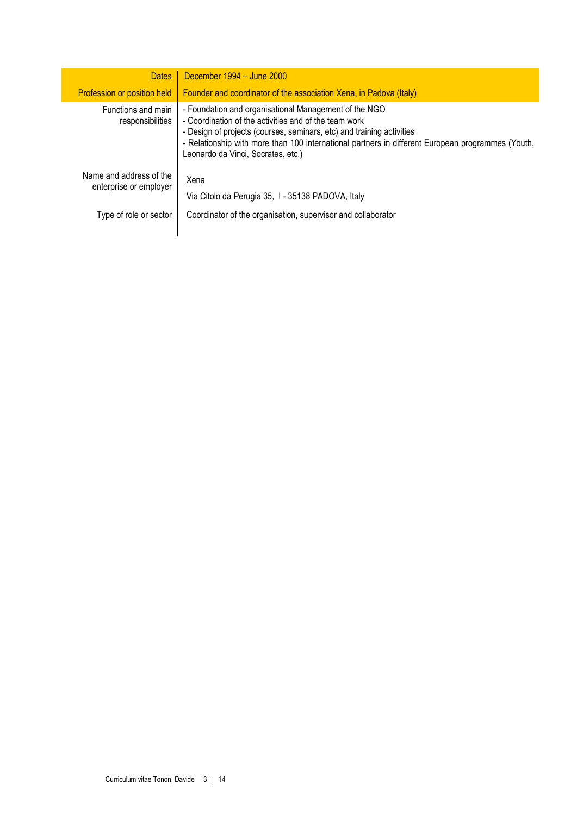| <b>Dates</b>                                      | December $1994 -$ June $2000$                                                                                                                                                                                                                                                                                                      |
|---------------------------------------------------|------------------------------------------------------------------------------------------------------------------------------------------------------------------------------------------------------------------------------------------------------------------------------------------------------------------------------------|
| Profession or position held                       | Founder and coordinator of the association Xena, in Padova (Italy)                                                                                                                                                                                                                                                                 |
| Functions and main<br>responsibilities            | - Foundation and organisational Management of the NGO<br>- Coordination of the activities and of the team work<br>- Design of projects (courses, seminars, etc) and training activities<br>- Relationship with more than 100 international partners in different European programmes (Youth,<br>Leonardo da Vinci, Socrates, etc.) |
| Name and address of the<br>enterprise or employer | Xena<br>Via Citolo da Perugia 35, 1 - 35138 PADOVA, Italy                                                                                                                                                                                                                                                                          |
| Type of role or sector                            | Coordinator of the organisation, supervisor and collaborator                                                                                                                                                                                                                                                                       |

Γ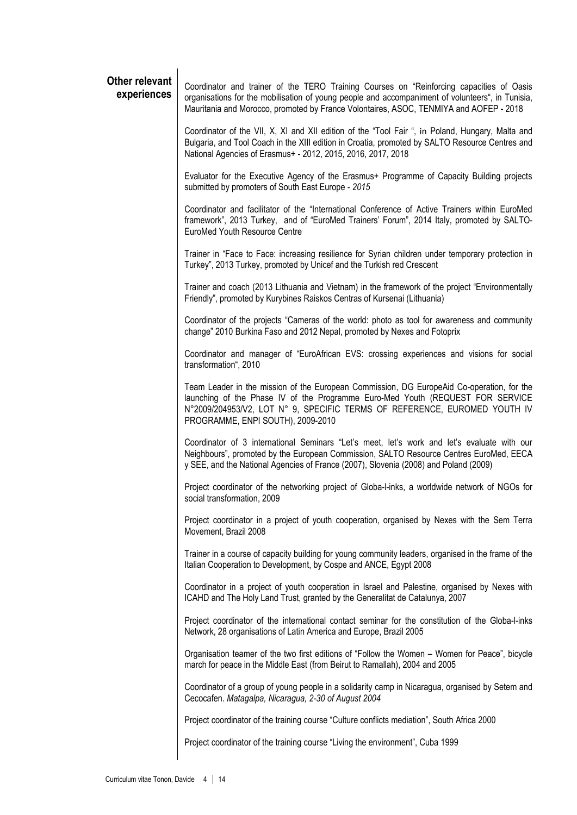#### **Other relevant experiences**

Coordinator and trainer of the TERO Training Courses on "Reinforcing capacities of Oasis organisations for the mobilisation of young people and accompaniment of volunteers", in Tunisia, Mauritania and Morocco, promoted by France Volontaires, ASOC, TENMIYA and AOFEP - 2018

Coordinator of the VII, X, XI and XII edition of the "Tool Fair ", in Poland, Hungary, Malta and Bulgaria, and Tool Coach in the XIII edition in Croatia, promoted by SALTO Resource Centres and National Agencies of Erasmus+ - 2012, 2015, 2016, 2017, 2018

Evaluator for the Executive Agency of the Erasmus+ Programme of Capacity Building projects submitted by promoters of South East Europe - *2015*

Coordinator and facilitator of the "International Conference of Active Trainers within EuroMed framework", 2013 Turkey, and of "EuroMed Trainers' Forum", 2014 Italy, promoted by SALTO-EuroMed Youth Resource Centre

Trainer in "Face to Face: increasing resilience for Syrian children under temporary protection in Turkey", 2013 Turkey, promoted by Unicef and the Turkish red Crescent

Trainer and coach (2013 Lithuania and Vietnam) in the framework of the project "Environmentally Friendly", promoted by Kurybines Raiskos Centras of Kursenai (Lithuania)

Coordinator of the projects "Cameras of the world: photo as tool for awareness and community change" 2010 Burkina Faso and 2012 Nepal, promoted by Nexes and Fotoprix

Coordinator and manager of "EuroAfrican EVS: crossing experiences and visions for social transformation", 2010

Team Leader in the mission of the European Commission, DG EuropeAid Co-operation, for the launching of the Phase IV of the Programme Euro-Med Youth (REQUEST FOR SERVICE N°2009/204953/V2, LOT N° 9, SPECIFIC TERMS OF REFERENCE, EUROMED YOUTH IV PROGRAMME, ENPI SOUTH), 2009-2010

Coordinator of 3 international Seminars "Let's meet, let's work and let's evaluate with our Neighbours", promoted by the European Commission, SALTO Resource Centres EuroMed, EECA y SEE, and the National Agencies of France (2007), Slovenia (2008) and Poland (2009)

Project coordinator of the networking project of Globa-l-inks, a worldwide network of NGOs for social transformation, 2009

Project coordinator in a project of youth cooperation, organised by Nexes with the Sem Terra Movement, Brazil 2008

Trainer in a course of capacity building for young community leaders, organised in the frame of the Italian Cooperation to Development, by Cospe and ANCE, Egypt 2008

Coordinator in a project of youth cooperation in Israel and Palestine, organised by Nexes with ICAHD and The Holy Land Trust, granted by the Generalitat de Catalunya, 2007

Project coordinator of the international contact seminar for the constitution of the Globa-l-inks Network, 28 organisations of Latin America and Europe, Brazil 2005

Organisation teamer of the two first editions of "Follow the Women – Women for Peace", bicycle march for peace in the Middle East (from Beirut to Ramallah), 2004 and 2005

Coordinator of a group of young people in a solidarity camp in Nicaragua, organised by Setem and Cecocafen. *Matagalpa, Nicaragua, 2-30 of August 2004*

Project coordinator of the training course "Culture conflicts mediation", South Africa 2000

Project coordinator of the training course "Living the environment", Cuba 1999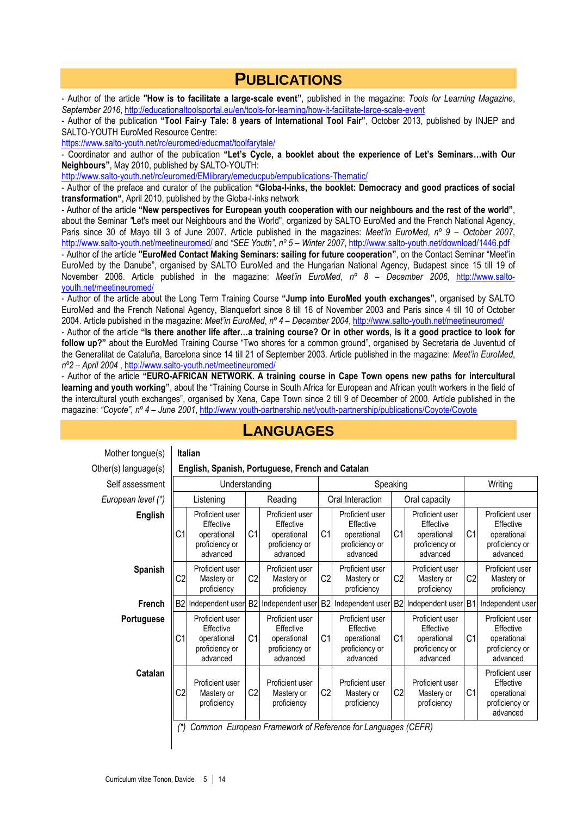### **PUBLICATIONS**

- Author of the article **"How is to facilitate a large-scale event"**, published in the magazine: *Tools for Learning Magazine*, *September 2016*,<http://educationaltoolsportal.eu/en/tools-for-learning/how-it-facilitate-large-scale-event>

- Author of the publication **"Tool Fair-y Tale: 8 years of International Tool Fair"**, October 2013, published by INJEP and SALTO-YOUTH EuroMed Resource Centre:

<https://www.salto-youth.net/rc/euromed/educmat/toolfarytale/>

- Coordinator and author of the publication **"Let's Cycle, a booklet about the experience of Let's Seminars…with Our Neighbours"**, May 2010, published by SALTO-YOUTH:

<http://www.salto-youth.net/rc/euromed/EMlibrary/emeducpub/empublications-Thematic/>

- Author of the preface and curator of the publication **"Globa-l-inks, the booklet: Democracy and good practices of social transformation"**, April 2010, published by the Globa-l-inks network

- Author of the article **"New perspectives for European youth cooperation with our neighbours and the rest of the world"**, about the Seminar *"*Let's meet our Neighbours and the World", organized by SALTO EuroMed and the French National Agency, Paris since 30 of Mayo till 3 of June 2007. Article published in the magazines: *Meet'in EuroMed*, *nº 9 – October 2007*, <http://www.salto-youth.net/meetineuromed/> and *"SEE Youth", nº 5 – Winter 2007*,<http://www.salto-youth.net/download/1446.pdf>

- Author of the artícle **"EuroMed Contact Making Seminars: sailing for future cooperation"**, on the Contact Seminar "Meet'in EuroMed by the Danube", organised by SALTO EuroMed and the Hungarian National Agency, Budapest since 15 till 19 of November 2006. Article published in the magazine: *Meet'in EuroMed*, *nº 8 – December 2006*, [http://www.salto](http://www.salto-youth.net/meetineuromed/)[youth.net/meetineuromed/](http://www.salto-youth.net/meetineuromed/)

- Author of the artícle about the Long Term Training Course **"Jump into EuroMed youth exchanges"**, organised by SALTO EuroMed and the French National Agency, Blanquefort since 8 till 16 of November 2003 and Paris since 4 till 10 of October 2004. Article published in the magazine: *Meet'in EuroMed*, *nº 4 – December 2004*[, http://www.salto-youth.net/meetineuromed/](http://www.salto-youth.net/meetineuromed/)

- Author of the article **"Is there another life after…a training course? Or in other words, is it a good practice to look for follow up?"** about the EuroMed Training Course "Two shores for a common ground", organised by Secretaria de Juventud of the Generalitat de Cataluña, Barcelona since 14 till 21 of September 2003. Article published in the magazine: *Meet'in EuroMed*, *nº2 – April 2004* [, http://www.salto-youth.net/meetineuromed/](http://www.salto-youth.net/meetineuromed/)

- Author of the article **"EURO-AFRICAN NETWORK. A training course in Cape Town opens new paths for intercultural learning and youth working"**, about the "Training Course in South Africa for European and African youth workers in the field of the intercultural youth exchanges", organised by Xena, Cape Town since 2 till 9 of December of 2000. Artícle published in the magazine: *"Coyote", nº 4 – June 2001*,<http://www.youth-partnership.net/youth-partnership/publications/Coyote/Coyote>

| Mother tongue(s)     | <b>Italian</b> |                                                                           |                |                                                                           |                |                                                                           |                |                                                                           |                |                                                                           |
|----------------------|----------------|---------------------------------------------------------------------------|----------------|---------------------------------------------------------------------------|----------------|---------------------------------------------------------------------------|----------------|---------------------------------------------------------------------------|----------------|---------------------------------------------------------------------------|
| Other(s) language(s) |                |                                                                           |                | English, Spanish, Portuguese, French and Catalan                          |                |                                                                           |                |                                                                           |                |                                                                           |
| Self assessment      | Understanding  |                                                                           |                |                                                                           | Speaking       |                                                                           |                |                                                                           | Writing        |                                                                           |
| European level (*)   | Listening      |                                                                           |                | Reading                                                                   |                | Oral Interaction                                                          |                | Oral capacity                                                             |                |                                                                           |
| <b>English</b>       | C <sub>1</sub> | Proficient user<br>Effective<br>operational<br>proficiency or<br>advanced | C <sub>1</sub> | Proficient user<br>Effective<br>operational<br>proficiency or<br>advanced | C1             | Proficient user<br>Effective<br>operational<br>proficiency or<br>advanced | C <sub>1</sub> | Proficient user<br>Effective<br>operational<br>proficiency or<br>advanced | C <sub>1</sub> | Proficient user<br>Effective<br>operational<br>proficiency or<br>advanced |
| <b>Spanish</b>       | C <sub>2</sub> | Proficient user<br>Mastery or<br>proficiency                              | C <sub>2</sub> | Proficient user<br>Mastery or<br>proficiency                              | C <sub>2</sub> | Proficient user<br>Mastery or<br>proficiency                              | C <sub>2</sub> | Proficient user<br>Mastery or<br>proficiency                              | C <sub>2</sub> | Proficient user<br>Mastery or<br>proficiency                              |
| <b>French</b>        |                | B2 Independent user                                                       | B <sub>2</sub> | Independent user                                                          |                | B2 Independent user                                                       | B <sub>2</sub> | Independent user                                                          | B <sub>1</sub> | Independent user                                                          |
| Portuguese           | C1             | Proficient user<br>Effective<br>operational<br>proficiency or<br>advanced | C <sub>1</sub> | Proficient user<br>Effective<br>operational<br>proficiency or<br>advanced | C <sub>1</sub> | Proficient user<br>Effective<br>operational<br>proficiency or<br>advanced | C1             | Proficient user<br>Effective<br>operational<br>proficiency or<br>advanced | C1             | Proficient user<br>Effective<br>operational<br>proficiency or<br>advanced |
| Catalan              | C2             | Proficient user<br>Mastery or<br>proficiency                              | C <sub>2</sub> | Proficient user<br>Mastery or<br>proficiency                              | C <sub>2</sub> | Proficient user<br>Mastery or<br>proficiency                              | C <sub>2</sub> | Proficient user<br>Mastery or<br>proficiency                              | C <sub>1</sub> | Proficient user<br>Effective<br>operational<br>proficiency or<br>advanced |

### **LANGUAGES**

*(\*) Common European Framework of Reference for Languages (CEFR)*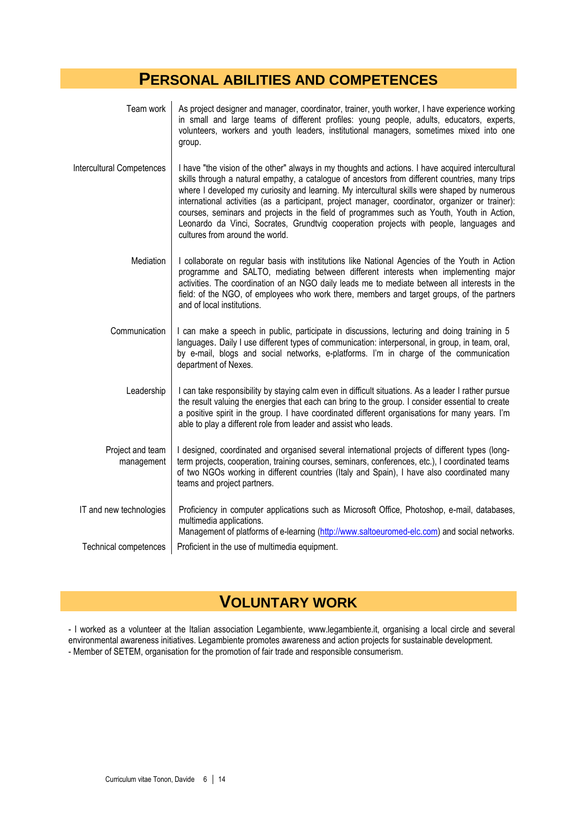### **PERSONAL ABILITIES AND COMPETENCES**

| Team work                      | As project designer and manager, coordinator, trainer, youth worker, I have experience working<br>in small and large teams of different profiles: young people, adults, educators, experts,<br>volunteers, workers and youth leaders, institutional managers, sometimes mixed into one<br>group.                                                                                                                                                                                                                                                                                                                                   |
|--------------------------------|------------------------------------------------------------------------------------------------------------------------------------------------------------------------------------------------------------------------------------------------------------------------------------------------------------------------------------------------------------------------------------------------------------------------------------------------------------------------------------------------------------------------------------------------------------------------------------------------------------------------------------|
| Intercultural Competences      | I have "the vision of the other" always in my thoughts and actions. I have acquired intercultural<br>skills through a natural empathy, a catalogue of ancestors from different countries, many trips<br>where I developed my curiosity and learning. My intercultural skills were shaped by numerous<br>international activities (as a participant, project manager, coordinator, organizer or trainer):<br>courses, seminars and projects in the field of programmes such as Youth, Youth in Action,<br>Leonardo da Vinci, Socrates, Grundtvig cooperation projects with people, languages and<br>cultures from around the world. |
| Mediation                      | I collaborate on regular basis with institutions like National Agencies of the Youth in Action<br>programme and SALTO, mediating between different interests when implementing major<br>activities. The coordination of an NGO daily leads me to mediate between all interests in the<br>field: of the NGO, of employees who work there, members and target groups, of the partners<br>and of local institutions.                                                                                                                                                                                                                  |
| Communication                  | I can make a speech in public, participate in discussions, lecturing and doing training in 5<br>languages. Daily I use different types of communication: interpersonal, in group, in team, oral,<br>by e-mail, blogs and social networks, e-platforms. I'm in charge of the communication<br>department of Nexes.                                                                                                                                                                                                                                                                                                                  |
| Leadership                     | I can take responsibility by staying calm even in difficult situations. As a leader I rather pursue<br>the result valuing the energies that each can bring to the group. I consider essential to create<br>a positive spirit in the group. I have coordinated different organisations for many years. I'm<br>able to play a different role from leader and assist who leads.                                                                                                                                                                                                                                                       |
| Project and team<br>management | I designed, coordinated and organised several international projects of different types (long-<br>term projects, cooperation, training courses, seminars, conferences, etc.), I coordinated teams<br>of two NGOs working in different countries (Italy and Spain), I have also coordinated many<br>teams and project partners.                                                                                                                                                                                                                                                                                                     |
| IT and new technologies        | Proficiency in computer applications such as Microsoft Office, Photoshop, e-mail, databases,<br>multimedia applications.<br>Management of platforms of e-learning (http://www.saltoeuromed-elc.com) and social networks.                                                                                                                                                                                                                                                                                                                                                                                                           |
| Technical competences          | Proficient in the use of multimedia equipment.                                                                                                                                                                                                                                                                                                                                                                                                                                                                                                                                                                                     |

## **VOLUNTARY WORK**

- I worked as a volunteer at the Italian association Legambiente, www.legambiente.it, organising a local circle and several environmental awareness initiatives. Legambiente promotes awareness and action projects for sustainable development. - Member of SETEM, organisation for the promotion of fair trade and responsible consumerism.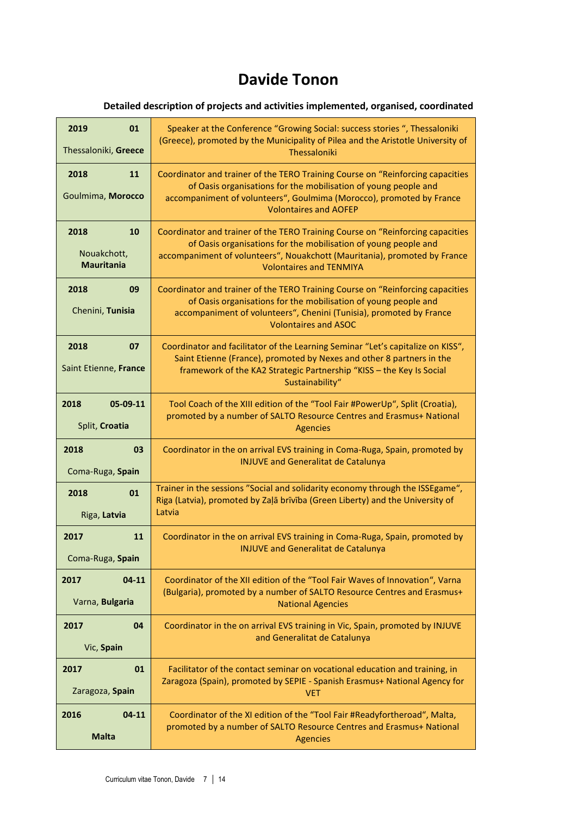# **Davide Tonon**

### **Detailed description of projects and activities implemented, organised, coordinated**

| 2019                                | Speaker at the Conference "Growing Social: success stories ", Thessaloniki                                                                                                                                                                                |
|-------------------------------------|-----------------------------------------------------------------------------------------------------------------------------------------------------------------------------------------------------------------------------------------------------------|
| 01                                  | (Greece), promoted by the Municipality of Pilea and the Aristotle University of                                                                                                                                                                           |
| Thessaloniki, Greece                | Thessaloniki                                                                                                                                                                                                                                              |
| 2018<br>11<br>Goulmima, Morocco     | Coordinator and trainer of the TERO Training Course on "Reinforcing capacities<br>of Oasis organisations for the mobilisation of young people and<br>accompaniment of volunteers", Goulmima (Morocco), promoted by France<br><b>Volontaires and AOFEP</b> |
| 2018                                | Coordinator and trainer of the TERO Training Course on "Reinforcing capacities                                                                                                                                                                            |
| 10                                  | of Oasis organisations for the mobilisation of young people and                                                                                                                                                                                           |
| Nouakchott,                         | accompaniment of volunteers", Nouakchott (Mauritania), promoted by France                                                                                                                                                                                 |
| <b>Mauritania</b>                   | <b>Volontaires and TENMIYA</b>                                                                                                                                                                                                                            |
| 2018<br>09<br>Chenini, Tunisia      | Coordinator and trainer of the TERO Training Course on "Reinforcing capacities<br>of Oasis organisations for the mobilisation of young people and<br>accompaniment of volunteers", Chenini (Tunisia), promoted by France<br><b>Volontaires and ASOC</b>   |
| 2018<br>07<br>Saint Etienne, France | Coordinator and facilitator of the Learning Seminar "Let's capitalize on KISS",<br>Saint Etienne (France), promoted by Nexes and other 8 partners in the<br>framework of the KA2 Strategic Partnership "KISS - the Key Is Social<br>Sustainability"       |
| 2018                                | Tool Coach of the XIII edition of the "Tool Fair #PowerUp", Split (Croatia),                                                                                                                                                                              |
| 05-09-11                            | promoted by a number of SALTO Resource Centres and Erasmus+ National                                                                                                                                                                                      |
| Split, Croatia                      | <b>Agencies</b>                                                                                                                                                                                                                                           |
| 2018<br>03<br>Coma-Ruga, Spain      | Coordinator in the on arrival EVS training in Coma-Ruga, Spain, promoted by<br><b>INJUVE and Generalitat de Catalunya</b>                                                                                                                                 |
| 2018                                | Trainer in the sessions "Social and solidarity economy through the ISSEgame",                                                                                                                                                                             |
| 01                                  | Riga (Latvia), promoted by Zaļā brīvība (Green Liberty) and the University of                                                                                                                                                                             |
| Riga, Latvia                        | Latvia                                                                                                                                                                                                                                                    |
| 11<br>2017<br>Coma-Ruga, Spain      | Coordinator in the on arrival EVS training in Coma-Ruga, Spain, promoted by<br><b>INJUVE and Generalitat de Catalunya</b>                                                                                                                                 |
| 2017                                | Coordinator of the XII edition of the "Tool Fair Waves of Innovation", Varna                                                                                                                                                                              |
| $04-11$                             | (Bulgaria), promoted by a number of SALTO Resource Centres and Erasmus+                                                                                                                                                                                   |
| Varna, Bulgaria                     | <b>National Agencies</b>                                                                                                                                                                                                                                  |
| 04<br>2017<br>Vic, Spain            | Coordinator in the on arrival EVS training in Vic, Spain, promoted by INJUVE<br>and Generalitat de Catalunya                                                                                                                                              |
| 01                                  | Facilitator of the contact seminar on vocational education and training, in                                                                                                                                                                               |
| 2017                                | Zaragoza (Spain), promoted by SEPIE - Spanish Erasmus+ National Agency for                                                                                                                                                                                |
| Zaragoza, Spain                     | <b>VET</b>                                                                                                                                                                                                                                                |
| 2016                                | Coordinator of the XI edition of the "Tool Fair #Readyfortheroad", Malta,                                                                                                                                                                                 |
| $04 - 11$                           | promoted by a number of SALTO Resource Centres and Erasmus+ National                                                                                                                                                                                      |
| <b>Malta</b>                        | <b>Agencies</b>                                                                                                                                                                                                                                           |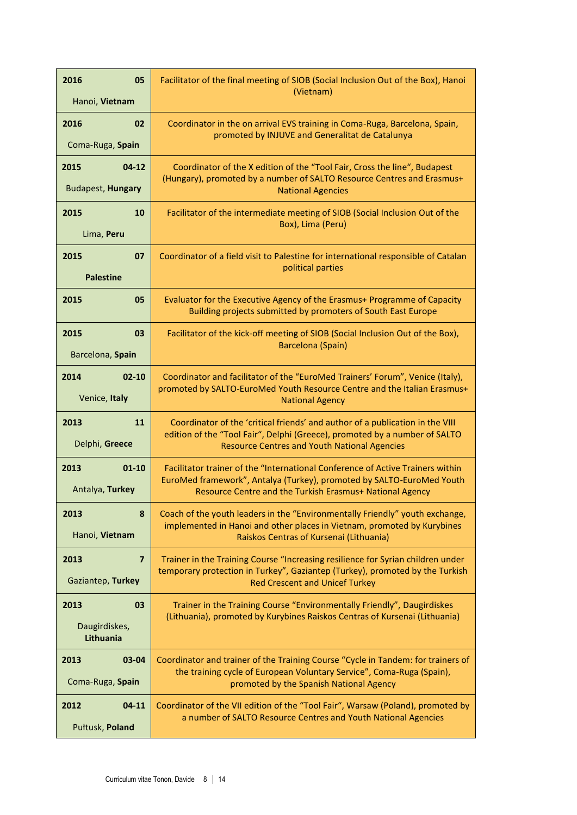| 2016<br>05<br>Hanoi, Vietnam | Facilitator of the final meeting of SIOB (Social Inclusion Out of the Box), Hanoi<br>(Vietnam)                                                              |  |  |  |
|------------------------------|-------------------------------------------------------------------------------------------------------------------------------------------------------------|--|--|--|
|                              |                                                                                                                                                             |  |  |  |
| 02<br>2016                   | Coordinator in the on arrival EVS training in Coma-Ruga, Barcelona, Spain,<br>promoted by INJUVE and Generalitat de Catalunya                               |  |  |  |
| Coma-Ruga, Spain             |                                                                                                                                                             |  |  |  |
| 2015<br>$04-12$              | Coordinator of the X edition of the "Tool Fair, Cross the line", Budapest                                                                                   |  |  |  |
| Budapest, Hungary            | (Hungary), promoted by a number of SALTO Resource Centres and Erasmus+<br><b>National Agencies</b>                                                          |  |  |  |
| 2015<br>10                   | Facilitator of the intermediate meeting of SIOB (Social Inclusion Out of the                                                                                |  |  |  |
| Lima, Peru                   | Box), Lima (Peru)                                                                                                                                           |  |  |  |
| 2015<br>07                   | Coordinator of a field visit to Palestine for international responsible of Catalan<br>political parties                                                     |  |  |  |
| <b>Palestine</b>             |                                                                                                                                                             |  |  |  |
| 2015<br>05                   | Evaluator for the Executive Agency of the Erasmus+ Programme of Capacity<br>Building projects submitted by promoters of South East Europe                   |  |  |  |
| 2015<br>03                   | Facilitator of the kick-off meeting of SIOB (Social Inclusion Out of the Box),                                                                              |  |  |  |
| Barcelona, Spain             | Barcelona (Spain)                                                                                                                                           |  |  |  |
| 2014<br>$02 - 10$            | Coordinator and facilitator of the "EuroMed Trainers' Forum", Venice (Italy),                                                                               |  |  |  |
| Venice, Italy                | promoted by SALTO-EuroMed Youth Resource Centre and the Italian Erasmus+<br><b>National Agency</b>                                                          |  |  |  |
| 2013<br>11                   | Coordinator of the 'critical friends' and author of a publication in the VIII<br>edition of the "Tool Fair", Delphi (Greece), promoted by a number of SALTO |  |  |  |
| Delphi, Greece               | <b>Resource Centres and Youth National Agencies</b>                                                                                                         |  |  |  |
| 2013<br>$01 - 10$            | Facilitator trainer of the "International Conference of Active Trainers within                                                                              |  |  |  |
| Antalya, Turkey              | EuroMed framework", Antalya (Turkey), promoted by SALTO-EuroMed Youth<br>Resource Centre and the Turkish Erasmus+ National Agency                           |  |  |  |
| 2013<br>8                    | Coach of the youth leaders in the "Environmentally Friendly" youth exchange,                                                                                |  |  |  |
| Hanoi, Vietnam               | implemented in Hanoi and other places in Vietnam, promoted by Kurybines<br>Raiskos Centras of Kursenai (Lithuania)                                          |  |  |  |
| $\overline{7}$<br>2013       | Trainer in the Training Course "Increasing resilience for Syrian children under                                                                             |  |  |  |
| Gaziantep, Turkey            | temporary protection in Turkey", Gaziantep (Turkey), promoted by the Turkish<br><b>Red Crescent and Unicef Turkey</b>                                       |  |  |  |
| 2013<br>03                   | Trainer in the Training Course "Environmentally Friendly", Daugirdiskes                                                                                     |  |  |  |
| Daugirdiskes,<br>Lithuania   | (Lithuania), promoted by Kurybines Raiskos Centras of Kursenai (Lithuania)                                                                                  |  |  |  |
| 2013<br>$03 - 04$            | Coordinator and trainer of the Training Course "Cycle in Tandem: for trainers of                                                                            |  |  |  |
| Coma-Ruga, Spain             | the training cycle of European Voluntary Service", Coma-Ruga (Spain),<br>promoted by the Spanish National Agency                                            |  |  |  |
| 2012<br>$04 - 11$            | Coordinator of the VII edition of the "Tool Fair", Warsaw (Poland), promoted by                                                                             |  |  |  |
| Pułtusk, Poland              | a number of SALTO Resource Centres and Youth National Agencies                                                                                              |  |  |  |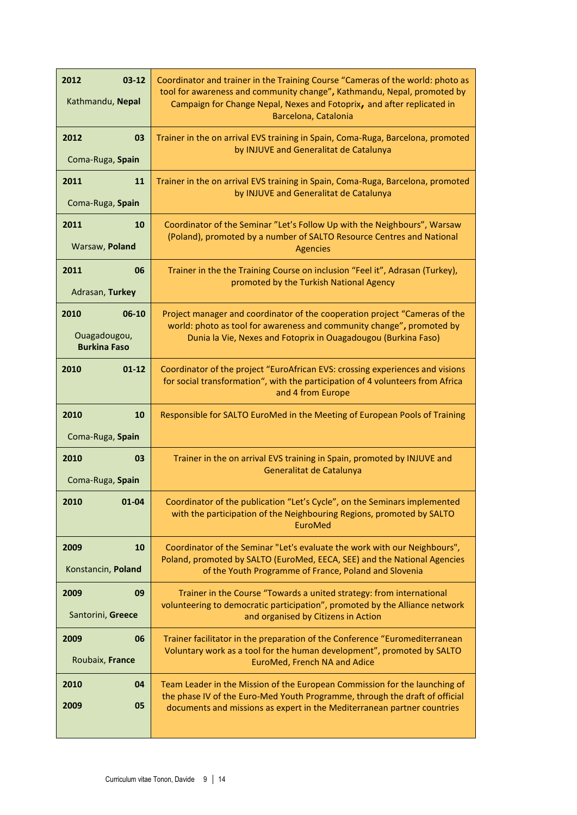| 2012<br>$03 - 12$<br>Kathmandu, Nepal                | Coordinator and trainer in the Training Course "Cameras of the world: photo as<br>tool for awareness and community change", Kathmandu, Nepal, promoted by<br>Campaign for Change Nepal, Nexes and Fotoprix, and after replicated in<br>Barcelona, Catalonia |
|------------------------------------------------------|-------------------------------------------------------------------------------------------------------------------------------------------------------------------------------------------------------------------------------------------------------------|
| 2012<br>03<br>Coma-Ruga, Spain                       | Trainer in the on arrival EVS training in Spain, Coma-Ruga, Barcelona, promoted<br>by INJUVE and Generalitat de Catalunya                                                                                                                                   |
| 11<br>2011<br>Coma-Ruga, Spain                       | Trainer in the on arrival EVS training in Spain, Coma-Ruga, Barcelona, promoted<br>by INJUVE and Generalitat de Catalunya                                                                                                                                   |
| 2011<br>10<br>Warsaw, Poland                         | Coordinator of the Seminar "Let's Follow Up with the Neighbours", Warsaw<br>(Poland), promoted by a number of SALTO Resource Centres and National<br><b>Agencies</b>                                                                                        |
| 2011<br>06<br>Adrasan, Turkey                        | Trainer in the the Training Course on inclusion "Feel it", Adrasan (Turkey),<br>promoted by the Turkish National Agency                                                                                                                                     |
| 2010<br>06-10<br>Ouagadougou,<br><b>Burkina Faso</b> | Project manager and coordinator of the cooperation project "Cameras of the<br>world: photo as tool for awareness and community change", promoted by<br>Dunia la Vie, Nexes and Fotoprix in Ouagadougou (Burkina Faso)                                       |
| 2010<br>$01 - 12$                                    | Coordinator of the project "EuroAfrican EVS: crossing experiences and visions<br>for social transformation", with the participation of 4 volunteers from Africa<br>and 4 from Europe                                                                        |
| 2010<br>10<br>Coma-Ruga, Spain                       | Responsible for SALTO EuroMed in the Meeting of European Pools of Training                                                                                                                                                                                  |
| 2010<br>03<br>Coma-Ruga, Spain                       | Trainer in the on arrival EVS training in Spain, promoted by INJUVE and<br>Generalitat de Catalunya                                                                                                                                                         |
| 2010<br>$01 - 04$                                    | Coordinator of the publication "Let's Cycle", on the Seminars implemented<br>with the participation of the Neighbouring Regions, promoted by SALTO<br>EuroMed                                                                                               |
| 2009<br>10<br>Konstancin, Poland                     | Coordinator of the Seminar "Let's evaluate the work with our Neighbours",<br>Poland, promoted by SALTO (EuroMed, EECA, SEE) and the National Agencies<br>of the Youth Programme of France, Poland and Slovenia                                              |
| 2009<br>09<br>Santorini, Greece                      | Trainer in the Course "Towards a united strategy: from international<br>volunteering to democratic participation", promoted by the Alliance network<br>and organised by Citizens in Action                                                                  |
| 2009<br>06<br>Roubaix, France                        | Trainer facilitator in the preparation of the Conference "Euromediterranean<br>Voluntary work as a tool for the human development", promoted by SALTO<br>EuroMed, French NA and Adice                                                                       |
| 2010<br>04<br>2009<br>05                             | Team Leader in the Mission of the European Commission for the launching of<br>the phase IV of the Euro-Med Youth Programme, through the draft of official<br>documents and missions as expert in the Mediterranean partner countries                        |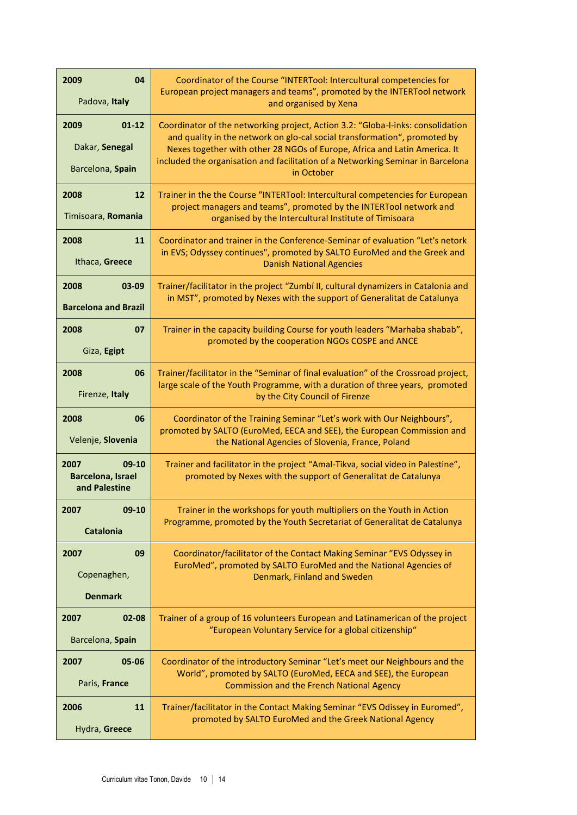| 2009<br>04<br>Padova, Italy                                  | Coordinator of the Course "INTERTool: Intercultural competencies for<br>European project managers and teams", promoted by the INTERTool network<br>and organised by Xena                                                                                                                                                                   |
|--------------------------------------------------------------|--------------------------------------------------------------------------------------------------------------------------------------------------------------------------------------------------------------------------------------------------------------------------------------------------------------------------------------------|
| 2009<br>$01 - 12$<br>Dakar, Senegal<br>Barcelona, Spain      | Coordinator of the networking project, Action 3.2: "Globa-I-inks: consolidation<br>and quality in the network on glo-cal social transformation", promoted by<br>Nexes together with other 28 NGOs of Europe, Africa and Latin America. It<br>included the organisation and facilitation of a Networking Seminar in Barcelona<br>in October |
| 2008<br>12<br>Timisoara, Romania                             | Trainer in the the Course "INTERTool: Intercultural competencies for European<br>project managers and teams", promoted by the INTERTool network and<br>organised by the Intercultural Institute of Timisoara                                                                                                                               |
| 2008<br>11<br>Ithaca, Greece                                 | Coordinator and trainer in the Conference-Seminar of evaluation "Let's netork<br>in EVS; Odyssey continues", promoted by SALTO EuroMed and the Greek and<br><b>Danish National Agencies</b>                                                                                                                                                |
| 2008<br>$03 - 09$<br><b>Barcelona and Brazil</b>             | Trainer/facilitator in the project "Zumbí II, cultural dynamizers in Catalonia and<br>in MST", promoted by Nexes with the support of Generalitat de Catalunya                                                                                                                                                                              |
| 2008<br>07<br>Giza, Egipt                                    | Trainer in the capacity building Course for youth leaders "Marhaba shabab",<br>promoted by the cooperation NGOs COSPE and ANCE                                                                                                                                                                                                             |
| 2008<br>06<br>Firenze, Italy                                 | Trainer/facilitator in the "Seminar of final evaluation" of the Crossroad project,<br>large scale of the Youth Programme, with a duration of three years, promoted<br>by the City Council of Firenze                                                                                                                                       |
| 2008<br>06<br>Velenje, Slovenia                              | Coordinator of the Training Seminar "Let's work with Our Neighbours",<br>promoted by SALTO (EuroMed, EECA and SEE), the European Commission and<br>the National Agencies of Slovenia, France, Poland                                                                                                                                       |
| 2007<br>$09-10$<br><b>Barcelona, Israel</b><br>and Palestine | Trainer and facilitator in the project "Amal-Tikva, social video in Palestine",<br>promoted by Nexes with the support of Generalitat de Catalunya                                                                                                                                                                                          |
| 2007<br>09-10<br><b>Catalonia</b>                            | Trainer in the workshops for youth multipliers on the Youth in Action<br>Programme, promoted by the Youth Secretariat of Generalitat de Catalunya                                                                                                                                                                                          |
| 2007<br>09<br>Copenaghen,<br><b>Denmark</b>                  | Coordinator/facilitator of the Contact Making Seminar "EVS Odyssey in<br>EuroMed", promoted by SALTO EuroMed and the National Agencies of<br>Denmark, Finland and Sweden                                                                                                                                                                   |
| 2007<br>02-08<br>Barcelona, Spain                            | Trainer of a group of 16 volunteers European and Latinamerican of the project<br>"European Voluntary Service for a global citizenship"                                                                                                                                                                                                     |
| 2007<br>05-06<br>Paris, France                               | Coordinator of the introductory Seminar "Let's meet our Neighbours and the<br>World", promoted by SALTO (EuroMed, EECA and SEE), the European<br><b>Commission and the French National Agency</b>                                                                                                                                          |
| 2006<br>11<br>Hydra, Greece                                  | Trainer/facilitator in the Contact Making Seminar "EVS Odissey in Euromed",<br>promoted by SALTO EuroMed and the Greek National Agency                                                                                                                                                                                                     |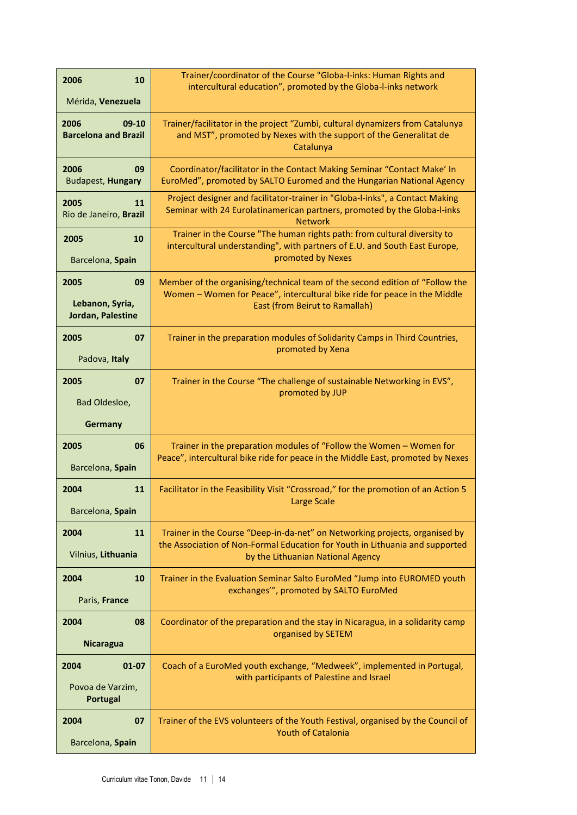| 2006<br>10                                         | Trainer/coordinator of the Course "Globa-I-inks: Human Rights and<br>intercultural education", promoted by the Globa-I-inks network                                                         |  |  |  |  |  |
|----------------------------------------------------|---------------------------------------------------------------------------------------------------------------------------------------------------------------------------------------------|--|--|--|--|--|
| Mérida, Venezuela                                  |                                                                                                                                                                                             |  |  |  |  |  |
| 2006<br>$09-10$<br><b>Barcelona and Brazil</b>     | Trainer/facilitator in the project "Zumbì, cultural dynamizers from Catalunya<br>and MST", promoted by Nexes with the support of the Generalitat de<br>Catalunya                            |  |  |  |  |  |
| 2006<br>09<br><b>Budapest, Hungary</b>             | Coordinator/facilitator in the Contact Making Seminar "Contact Make' In<br>EuroMed", promoted by SALTO Euromed and the Hungarian National Agency                                            |  |  |  |  |  |
| 2005<br>11<br>Rio de Janeiro, Brazil               | Project designer and facilitator-trainer in "Globa-I-inks", a Contact Making<br>Seminar with 24 Eurolatinamerican partners, promoted by the Globa-I-inks<br><b>Network</b>                  |  |  |  |  |  |
| 2005<br>10                                         | Trainer in the Course "The human rights path: from cultural diversity to<br>intercultural understanding", with partners of E.U. and South East Europe,<br>promoted by Nexes                 |  |  |  |  |  |
| Barcelona, Spain                                   |                                                                                                                                                                                             |  |  |  |  |  |
| 09<br>2005<br>Lebanon, Syria,<br>Jordan, Palestine | Member of the organising/technical team of the second edition of "Follow the<br>Women - Women for Peace", intercultural bike ride for peace in the Middle<br>East (from Beirut to Ramallah) |  |  |  |  |  |
| 2005<br>07                                         | Trainer in the preparation modules of Solidarity Camps in Third Countries,                                                                                                                  |  |  |  |  |  |
| Padova, Italy                                      | promoted by Xena                                                                                                                                                                            |  |  |  |  |  |
| 2005<br>07                                         | Trainer in the Course "The challenge of sustainable Networking in EVS",                                                                                                                     |  |  |  |  |  |
| Bad Oldesloe,                                      | promoted by JUP                                                                                                                                                                             |  |  |  |  |  |
|                                                    |                                                                                                                                                                                             |  |  |  |  |  |
| Germany                                            |                                                                                                                                                                                             |  |  |  |  |  |
| 2005<br>06<br>Barcelona, Spain                     | Trainer in the preparation modules of "Follow the Women - Women for<br>Peace", intercultural bike ride for peace in the Middle East, promoted by Nexes                                      |  |  |  |  |  |
| 2004<br>11                                         | Facilitator in the Feasibility Visit "Crossroad," for the promotion of an Action 5                                                                                                          |  |  |  |  |  |
| Barcelona, Spain                                   | Large Scale                                                                                                                                                                                 |  |  |  |  |  |
| 11<br>2004                                         | Trainer in the Course "Deep-in-da-net" on Networking projects, organised by                                                                                                                 |  |  |  |  |  |
| Vilnius, Lithuania                                 | the Association of Non-Formal Education for Youth in Lithuania and supported<br>by the Lithuanian National Agency                                                                           |  |  |  |  |  |
| 2004<br>10                                         | Trainer in the Evaluation Seminar Salto EuroMed "Jump into EUROMED youth                                                                                                                    |  |  |  |  |  |
| Paris, France                                      | exchanges", promoted by SALTO EuroMed                                                                                                                                                       |  |  |  |  |  |
| 08<br>2004                                         | Coordinator of the preparation and the stay in Nicaragua, in a solidarity camp                                                                                                              |  |  |  |  |  |
| <b>Nicaragua</b>                                   | organised by SETEM                                                                                                                                                                          |  |  |  |  |  |
| 2004<br>$01 - 07$                                  | Coach of a EuroMed youth exchange, "Medweek", implemented in Portugal,                                                                                                                      |  |  |  |  |  |
| Povoa de Varzim,<br>Portugal                       | with participants of Palestine and Israel                                                                                                                                                   |  |  |  |  |  |
| 07<br>2004                                         | Trainer of the EVS volunteers of the Youth Festival, organised by the Council of<br><b>Youth of Catalonia</b>                                                                               |  |  |  |  |  |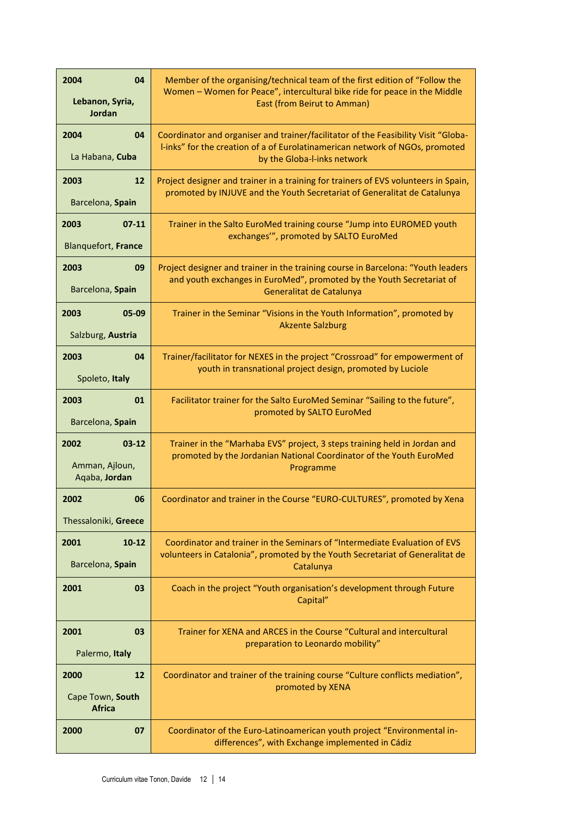| 2004<br>04<br>Lebanon, Syria,<br>Jordan              | Member of the organising/technical team of the first edition of "Follow the<br>Women - Women for Peace", intercultural bike ride for peace in the Middle<br>East (from Beirut to Amman)           |
|------------------------------------------------------|---------------------------------------------------------------------------------------------------------------------------------------------------------------------------------------------------|
| 04<br>2004<br>La Habana, Cuba                        | Coordinator and organiser and trainer/facilitator of the Feasibility Visit "Globa-<br>I-inks" for the creation of a of Eurolatinamerican network of NGOs, promoted<br>by the Globa-I-inks network |
| 12<br>2003<br>Barcelona, Spain                       | Project designer and trainer in a training for trainers of EVS volunteers in Spain,<br>promoted by INJUVE and the Youth Secretariat of Generalitat de Catalunya                                   |
| 2003<br>$07 - 11$<br>Blanquefort, France             | Trainer in the Salto EuroMed training course "Jump into EUROMED youth<br>exchanges"", promoted by SALTO EuroMed                                                                                   |
| 2003<br>09<br>Barcelona, Spain                       | Project designer and trainer in the training course in Barcelona: "Youth leaders<br>and youth exchanges in EuroMed", promoted by the Youth Secretariat of<br>Generalitat de Catalunya             |
| 2003<br>05-09<br>Salzburg, Austria                   | Trainer in the Seminar "Visions in the Youth Information", promoted by<br><b>Akzente Salzburg</b>                                                                                                 |
| 2003<br>04<br>Spoleto, Italy                         | Trainer/facilitator for NEXES in the project "Crossroad" for empowerment of<br>youth in transnational project design, promoted by Luciole                                                         |
| 2003<br>01<br>Barcelona, Spain                       | Facilitator trainer for the Salto EuroMed Seminar "Sailing to the future",<br>promoted by SALTO EuroMed                                                                                           |
| 2002<br>$03 - 12$<br>Amman, Ajloun,<br>Aqaba, Jordan | Trainer in the "Marhaba EVS" project, 3 steps training held in Jordan and<br>promoted by the Jordanian National Coordinator of the Youth EuroMed<br>Programme                                     |
| 2002<br>06<br>Thessaloniki, Greece                   | Coordinator and trainer in the Course "EURO-CULTURES", promoted by Xena                                                                                                                           |
| 2001<br>$10 - 12$<br>Barcelona, Spain                | Coordinator and trainer in the Seminars of "Intermediate Evaluation of EVS<br>volunteers in Catalonia", promoted by the Youth Secretariat of Generalitat de<br>Catalunya                          |
| 2001<br>03                                           | Coach in the project "Youth organisation's development through Future<br>Capital"                                                                                                                 |
| 2001<br>03<br>Palermo, Italy                         | Trainer for XENA and ARCES in the Course "Cultural and intercultural<br>preparation to Leonardo mobility"                                                                                         |
| 2000<br>12<br>Cape Town, South<br><b>Africa</b>      | Coordinator and trainer of the training course "Culture conflicts mediation",<br>promoted by XENA                                                                                                 |
| 2000<br>07                                           | Coordinator of the Euro-Latinoamerican youth project "Environmental in-<br>differences", with Exchange implemented in Cádiz                                                                       |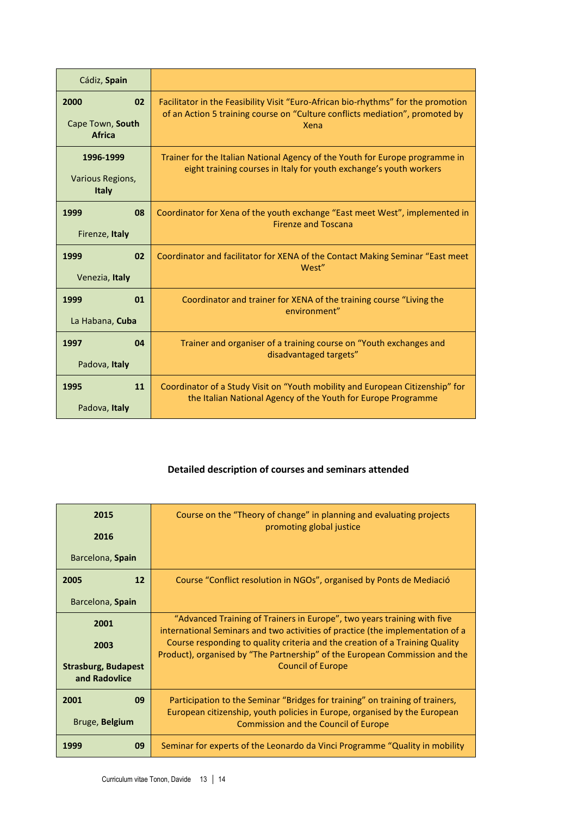| Cádiz, Spain                                    |                                                                                                                                                                           |
|-------------------------------------------------|---------------------------------------------------------------------------------------------------------------------------------------------------------------------------|
| 2000<br>02<br>Cape Town, South<br><b>Africa</b> | Facilitator in the Feasibility Visit "Euro-African bio-rhythms" for the promotion<br>of an Action 5 training course on "Culture conflicts mediation", promoted by<br>Xena |
| 1996-1999<br>Various Regions,<br>Italy          | Trainer for the Italian National Agency of the Youth for Europe programme in<br>eight training courses in Italy for youth exchange's youth workers                        |
| 1999<br>08<br>Firenze, Italy                    | Coordinator for Xena of the youth exchange "East meet West", implemented in<br><b>Firenze and Toscana</b>                                                                 |
| 02<br>1999<br>Venezia, Italy                    | Coordinator and facilitator for XENA of the Contact Making Seminar "East meet<br>West"                                                                                    |
| 01<br>1999<br>La Habana, Cuba                   | Coordinator and trainer for XENA of the training course "Living the<br>environment"                                                                                       |
| 1997<br>04<br>Padova, Italy                     | Trainer and organiser of a training course on "Youth exchanges and<br>disadvantaged targets"                                                                              |
| 1995<br>11<br>Padova, Italy                     | Coordinator of a Study Visit on "Youth mobility and European Citizenship" for<br>the Italian National Agency of the Youth for Europe Programme                            |

### **Detailed description of courses and seminars attended**

| 2015                                        | Course on the "Theory of change" in planning and evaluating projects<br>promoting global justice                                                            |
|---------------------------------------------|-------------------------------------------------------------------------------------------------------------------------------------------------------------|
| 2016                                        |                                                                                                                                                             |
| Barcelona, Spain                            |                                                                                                                                                             |
| 2005<br>12                                  | Course "Conflict resolution in NGOs", organised by Ponts de Mediació                                                                                        |
| Barcelona, Spain                            |                                                                                                                                                             |
| 2001                                        | "Advanced Training of Trainers in Europe", two years training with five<br>international Seminars and two activities of practice (the implementation of a   |
| 2003                                        | Course responding to quality criteria and the creation of a Training Quality<br>Product), organised by "The Partnership" of the European Commission and the |
| <b>Strasburg, Budapest</b><br>and Radovlice | <b>Council of Europe</b>                                                                                                                                    |
| 2001<br>09                                  | Participation to the Seminar "Bridges for training" on training of trainers,<br>European citizenship, youth policies in Europe, organised by the European   |
| Bruge, Belgium                              | <b>Commission and the Council of Europe</b>                                                                                                                 |
| 09<br>1999                                  | Seminar for experts of the Leonardo da Vinci Programme "Quality in mobility                                                                                 |